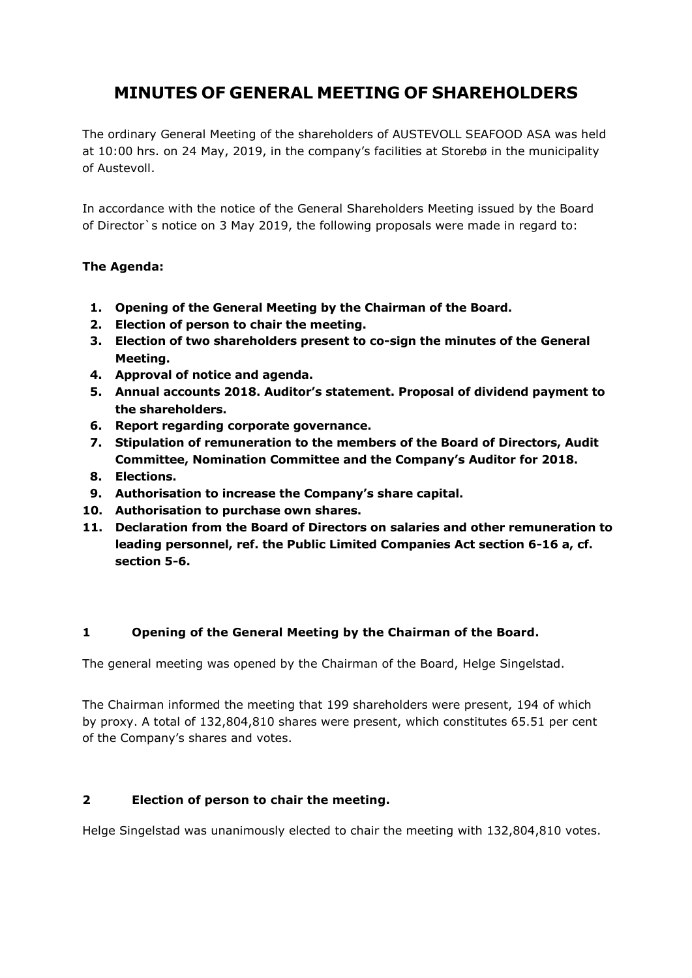# **MINUTES OF GENERAL MEETING OF SHAREHOLDERS**

The ordinary General Meeting of the shareholders of AUSTEVOLL SEAFOOD ASA was held at 10:00 hrs. on 24 May, 2019, in the company's facilities at Storebø in the municipality of Austevoll.

In accordance with the notice of the General Shareholders Meeting issued by the Board of Director`s notice on 3 May 2019, the following proposals were made in regard to:

### **The Agenda:**

- **1. Opening of the General Meeting by the Chairman of the Board.**
- **2. Election of person to chair the meeting.**
- **3. Election of two shareholders present to co-sign the minutes of the General Meeting.**
- **4. Approval of notice and agenda.**
- **5. Annual accounts 2018. Auditor's statement. Proposal of dividend payment to the shareholders.**
- **6. Report regarding corporate governance.**
- **7. Stipulation of remuneration to the members of the Board of Directors, Audit Committee, Nomination Committee and the Company's Auditor for 2018.**
- **8. Elections.**
- **9. Authorisation to increase the Company's share capital.**
- **10. Authorisation to purchase own shares.**
- **11. Declaration from the Board of Directors on salaries and other remuneration to leading personnel, ref. the Public Limited Companies Act section 6-16 a, cf. section 5-6.**

### **1 Opening of the General Meeting by the Chairman of the Board.**

The general meeting was opened by the Chairman of the Board, Helge Singelstad.

The Chairman informed the meeting that 199 shareholders were present, 194 of which by proxy. A total of 132,804,810 shares were present, which constitutes 65.51 per cent of the Company's shares and votes.

### **2 Election of person to chair the meeting.**

Helge Singelstad was unanimously elected to chair the meeting with 132,804,810 votes.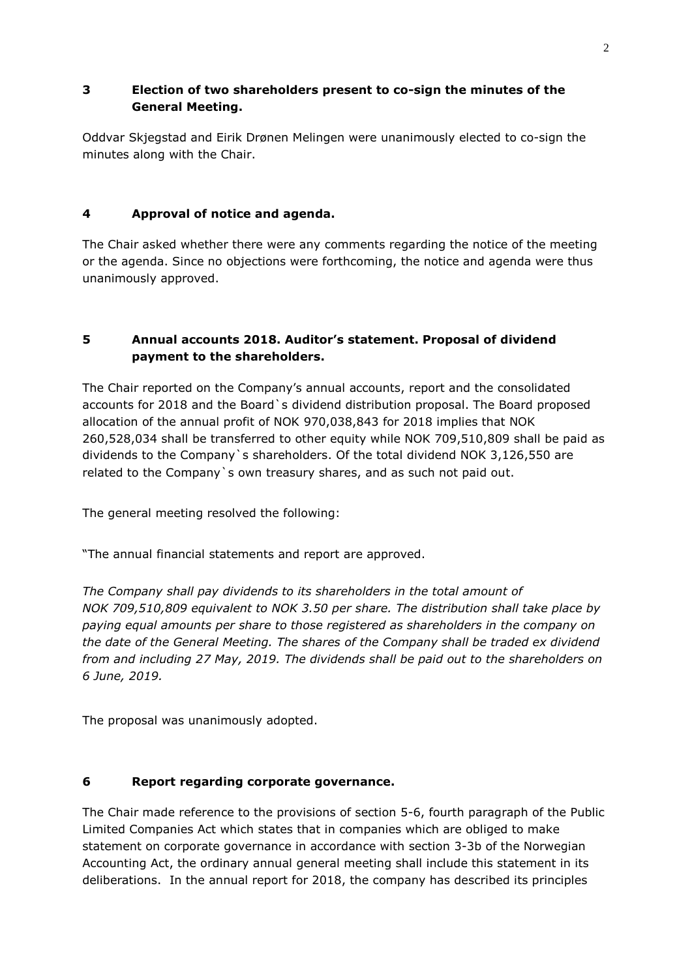### **3 Election of two shareholders present to co-sign the minutes of the General Meeting.**

Oddvar Skjegstad and Eirik Drønen Melingen were unanimously elected to co-sign the minutes along with the Chair.

### **4 Approval of notice and agenda.**

The Chair asked whether there were any comments regarding the notice of the meeting or the agenda. Since no objections were forthcoming, the notice and agenda were thus unanimously approved.

# **5 Annual accounts 2018. Auditor's statement. Proposal of dividend payment to the shareholders.**

The Chair reported on the Company's annual accounts, report and the consolidated accounts for 2018 and the Board`s dividend distribution proposal. The Board proposed allocation of the annual profit of NOK 970,038,843 for 2018 implies that NOK 260,528,034 shall be transferred to other equity while NOK 709,510,809 shall be paid as dividends to the Company`s shareholders. Of the total dividend NOK 3,126,550 are related to the Company`s own treasury shares, and as such not paid out.

The general meeting resolved the following:

"The annual financial statements and report are approved.

*The Company shall pay dividends to its shareholders in the total amount of NOK 709,510,809 equivalent to NOK 3.50 per share. The distribution shall take place by paying equal amounts per share to those registered as shareholders in the company on the date of the General Meeting. The shares of the Company shall be traded ex dividend from and including 27 May, 2019. The dividends shall be paid out to the shareholders on 6 June, 2019.* 

The proposal was unanimously adopted.

### **6 Report regarding corporate governance.**

The Chair made reference to the provisions of section 5-6, fourth paragraph of the Public Limited Companies Act which states that in companies which are obliged to make statement on corporate governance in accordance with section 3-3b of the Norwegian Accounting Act, the ordinary annual general meeting shall include this statement in its deliberations. In the annual report for 2018, the company has described its principles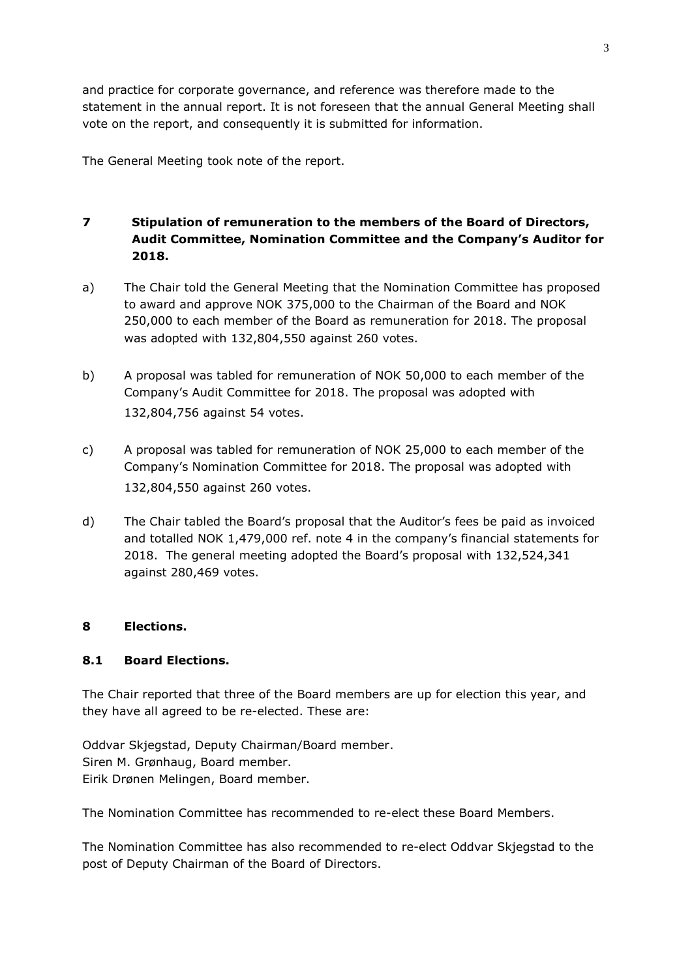and practice for corporate governance, and reference was therefore made to the statement in the annual report. It is not foreseen that the annual General Meeting shall vote on the report, and consequently it is submitted for information.

The General Meeting took note of the report.

## **7 Stipulation of remuneration to the members of the Board of Directors, Audit Committee, Nomination Committee and the Company's Auditor for 2018.**

- a) The Chair told the General Meeting that the Nomination Committee has proposed to award and approve NOK 375,000 to the Chairman of the Board and NOK 250,000 to each member of the Board as remuneration for 2018. The proposal was adopted with 132,804,550 against 260 votes.
- b) A proposal was tabled for remuneration of NOK 50,000 to each member of the Company's Audit Committee for 2018. The proposal was adopted with 132,804,756 against 54 votes.
- c) A proposal was tabled for remuneration of NOK 25,000 to each member of the Company's Nomination Committee for 2018. The proposal was adopted with 132,804,550 against 260 votes.
- d) The Chair tabled the Board's proposal that the Auditor's fees be paid as invoiced and totalled NOK 1,479,000 ref. note 4 in the company's financial statements for 2018. The general meeting adopted the Board's proposal with 132,524,341 against 280,469 votes.

### **8 Elections.**

### **8.1 Board Elections.**

The Chair reported that three of the Board members are up for election this year, and they have all agreed to be re-elected. These are:

Oddvar Skjegstad, Deputy Chairman/Board member. Siren M. Grønhaug, Board member. Eirik Drønen Melingen, Board member.

The Nomination Committee has recommended to re-elect these Board Members.

The Nomination Committee has also recommended to re-elect Oddvar Skjegstad to the post of Deputy Chairman of the Board of Directors.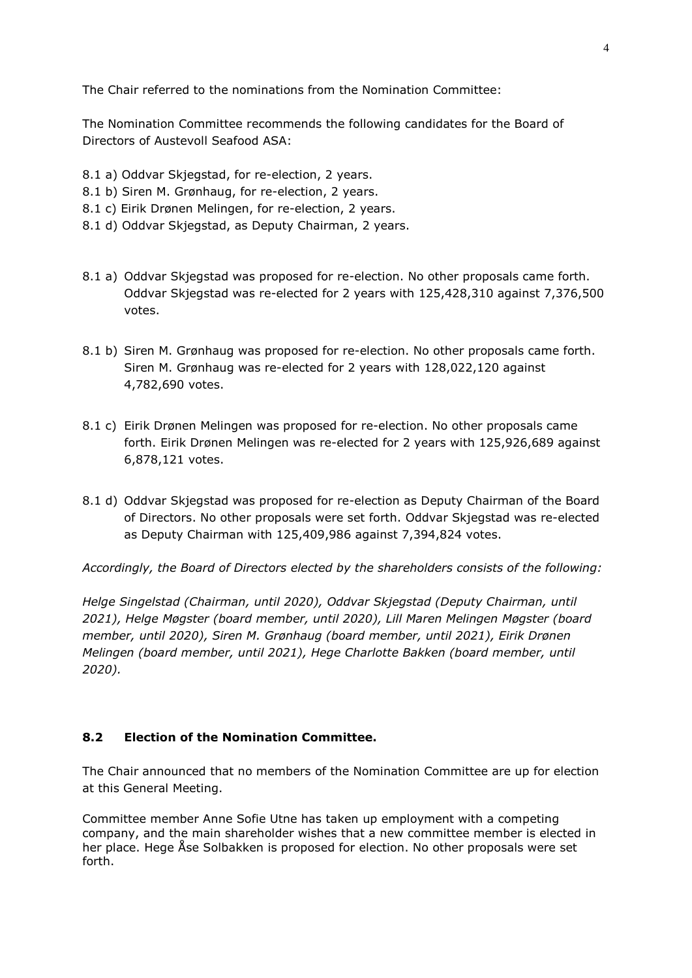The Chair referred to the nominations from the Nomination Committee:

The Nomination Committee recommends the following candidates for the Board of Directors of Austevoll Seafood ASA:

- 8.1 a) Oddvar Skjegstad, for re-election, 2 years.
- 8.1 b) Siren M. Grønhaug, for re-election, 2 years.
- 8.1 c) Eirik Drønen Melingen, for re-election, 2 years.
- 8.1 d) Oddvar Skjegstad, as Deputy Chairman, 2 years.
- 8.1 a) Oddvar Skjegstad was proposed for re-election. No other proposals came forth. Oddvar Skjegstad was re-elected for 2 years with 125,428,310 against 7,376,500 votes.
- 8.1 b) Siren M. Grønhaug was proposed for re-election. No other proposals came forth. Siren M. Grønhaug was re-elected for 2 years with 128,022,120 against 4,782,690 votes.
- 8.1 c) Eirik Drønen Melingen was proposed for re-election. No other proposals came forth. Eirik Drønen Melingen was re-elected for 2 years with 125,926,689 against 6,878,121 votes.
- 8.1 d) Oddvar Skjegstad was proposed for re-election as Deputy Chairman of the Board of Directors. No other proposals were set forth. Oddvar Skjegstad was re-elected as Deputy Chairman with 125,409,986 against 7,394,824 votes.

*Accordingly, the Board of Directors elected by the shareholders consists of the following:*

*Helge Singelstad (Chairman, until 2020), Oddvar Skjegstad (Deputy Chairman, until 2021), Helge Møgster (board member, until 2020), Lill Maren Melingen Møgster (board member, until 2020), Siren M. Grønhaug (board member, until 2021), Eirik Drønen Melingen (board member, until 2021), Hege Charlotte Bakken (board member, until 2020).*

#### **8.2 Election of the Nomination Committee.**

The Chair announced that no members of the Nomination Committee are up for election at this General Meeting.

Committee member Anne Sofie Utne has taken up employment with a competing company, and the main shareholder wishes that a new committee member is elected in her place. Hege Åse Solbakken is proposed for election. No other proposals were set forth.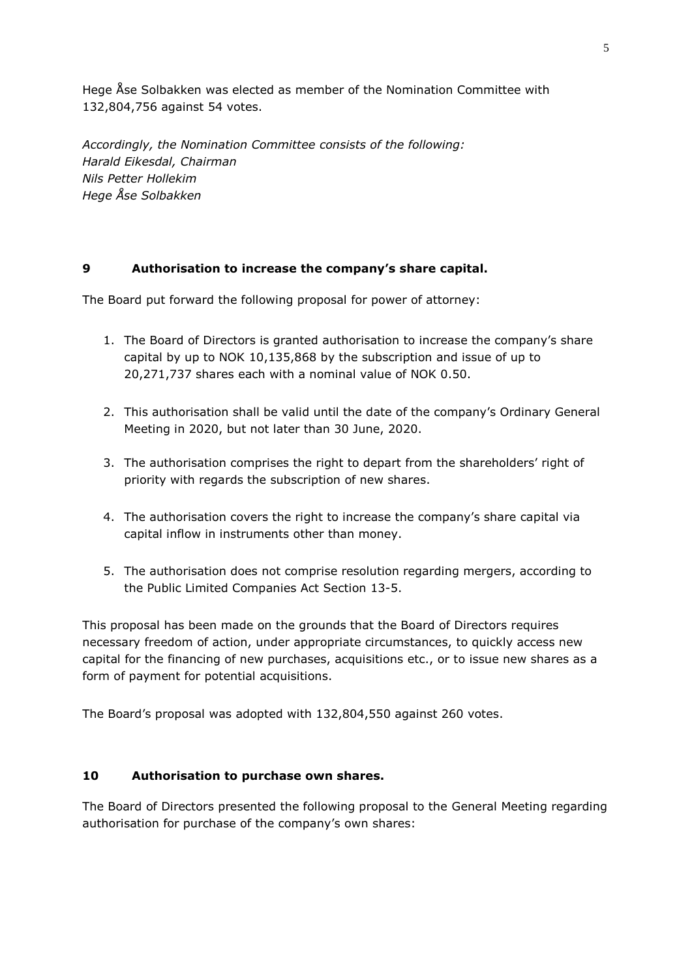Hege Åse Solbakken was elected as member of the Nomination Committee with 132,804,756 against 54 votes.

*Accordingly, the Nomination Committee consists of the following: Harald Eikesdal, Chairman Nils Petter Hollekim Hege Åse Solbakken*

#### **9 Authorisation to increase the company's share capital.**

The Board put forward the following proposal for power of attorney:

- 1. The Board of Directors is granted authorisation to increase the company's share capital by up to NOK 10,135,868 by the subscription and issue of up to 20,271,737 shares each with a nominal value of NOK 0.50.
- 2. This authorisation shall be valid until the date of the company's Ordinary General Meeting in 2020, but not later than 30 June, 2020.
- 3. The authorisation comprises the right to depart from the shareholders' right of priority with regards the subscription of new shares.
- 4. The authorisation covers the right to increase the company's share capital via capital inflow in instruments other than money.
- 5. The authorisation does not comprise resolution regarding mergers, according to the Public Limited Companies Act Section 13-5.

This proposal has been made on the grounds that the Board of Directors requires necessary freedom of action, under appropriate circumstances, to quickly access new capital for the financing of new purchases, acquisitions etc., or to issue new shares as a form of payment for potential acquisitions.

The Board's proposal was adopted with 132,804,550 against 260 votes.

#### **10 Authorisation to purchase own shares.**

The Board of Directors presented the following proposal to the General Meeting regarding authorisation for purchase of the company's own shares: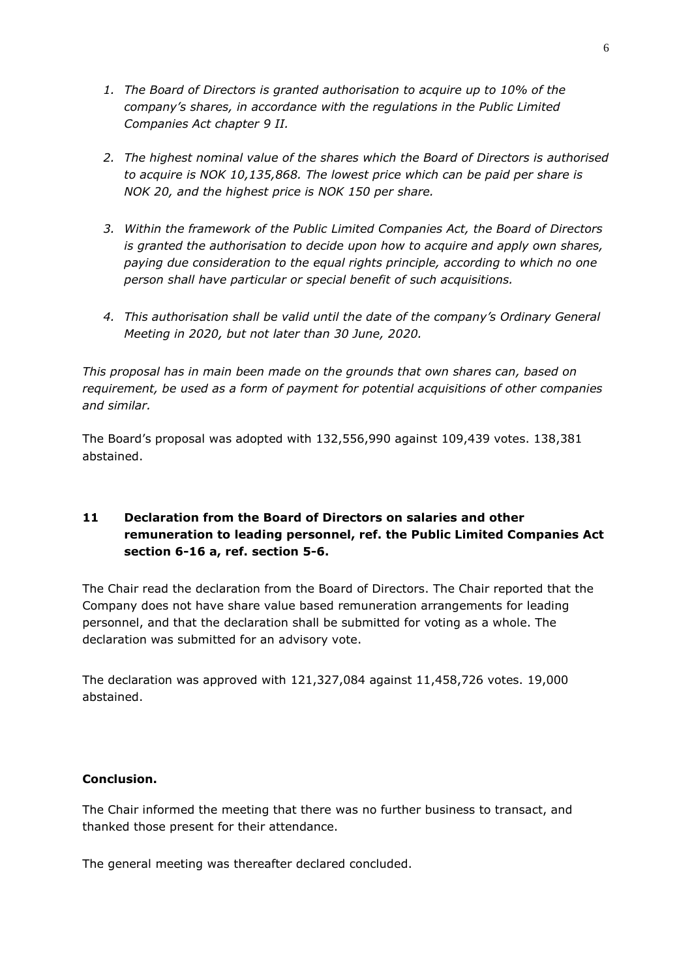- *1. The Board of Directors is granted authorisation to acquire up to 10% of the company's shares, in accordance with the regulations in the Public Limited Companies Act chapter 9 II.*
- *2. The highest nominal value of the shares which the Board of Directors is authorised to acquire is NOK 10,135,868. The lowest price which can be paid per share is NOK 20, and the highest price is NOK 150 per share.*
- *3. Within the framework of the Public Limited Companies Act, the Board of Directors is granted the authorisation to decide upon how to acquire and apply own shares, paying due consideration to the equal rights principle, according to which no one person shall have particular or special benefit of such acquisitions.*
- *4. This authorisation shall be valid until the date of the company's Ordinary General Meeting in 2020, but not later than 30 June, 2020.*

*This proposal has in main been made on the grounds that own shares can, based on requirement, be used as a form of payment for potential acquisitions of other companies and similar.*

The Board's proposal was adopted with 132,556,990 against 109,439 votes. 138,381 abstained.

### **11 Declaration from the Board of Directors on salaries and other remuneration to leading personnel, ref. the Public Limited Companies Act section 6-16 a, ref. section 5-6.**

The Chair read the declaration from the Board of Directors. The Chair reported that the Company does not have share value based remuneration arrangements for leading personnel, and that the declaration shall be submitted for voting as a whole. The declaration was submitted for an advisory vote.

The declaration was approved with 121,327,084 against 11,458,726 votes. 19,000 abstained.

### **Conclusion.**

The Chair informed the meeting that there was no further business to transact, and thanked those present for their attendance.

The general meeting was thereafter declared concluded.